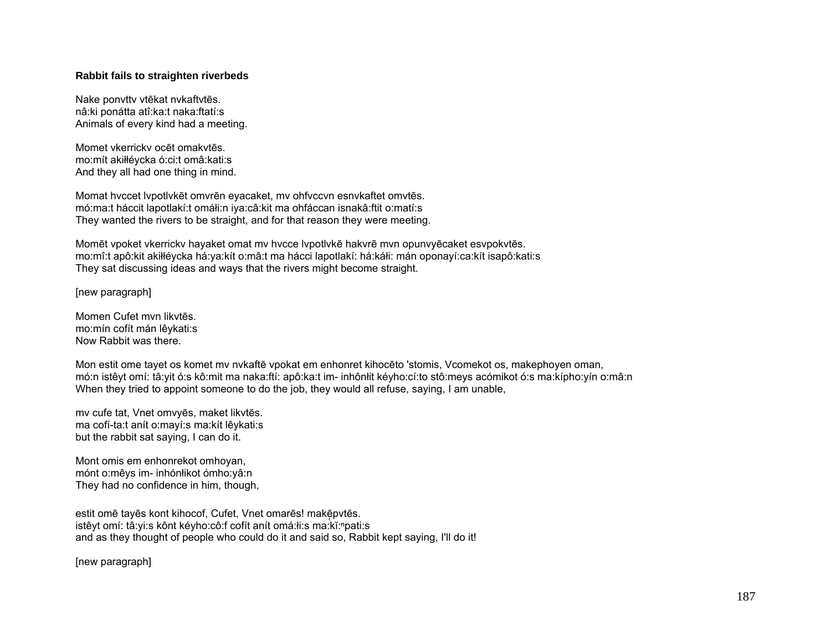## **Rabbit fails to straighten riverbeds**

Nake ponvttv vtēkat nvkaftvtēs. nâ:ki ponátta atî:ka:t naka:ftatí:s Animals of every kind had a meeting.

Momet vkerrickv ocēt omakvtēs. mo:mít akiłłéycka ó:ci:t omâ:kati:s And they all had one thing in mind.

Momat hvccet lvpotlvkēt omvrēn eyacaket, mv ohfvccvn esnvkaftet omvtēs. mó:ma:t háccit lapotlakí:t omáłi:n iya:câ:kit ma ohfáccan isnakâ:ftit o:matí:s They wanted the rivers to be straight, and for that reason they were meeting.

Momēt vpoket vkerrickv hayaket omat mv hvcce lvpotlvkē hakvrē mvn opunvyēcaket esvpokvtēs. mo:mî:t apô:kit akiłłéycka há:ya:kít o:mâ:t ma hácci lapotlakí: há:káłi: mán oponayí:ca:kít isapô:kati:s They sat discussing ideas and ways that the rivers might become straight.

[new paragraph]

Momen Cufet mvn likvtēs. mo:mín cofít mán lêykati:s Now Rabbit was there.

Mon estit ome tayet os komet mv nvkaftē vpokat em enhonret kihocēto 'stomis, Vcomekot os, makephoyen oman, mó:n istêyt omí: tâ:yit ó:s kô:mit ma naka:ftí: apô:ka:t im- inhônłit kéyho:cí:to stô:meys acómikot ó:s ma:kípho:yín o:mâ:n When they tried to appoint someone to do the job, they would all refuse, saying, I am unable,

mv cufe tat, Vnet omvyēs, maket likvtēs. ma cofí-ta:t anít o:mayí:s ma:kít lêykati:s but the rabbit sat saying, I can do it.

Mont omis em enhonrekot omhoyan, mónt o:mêys im- inhónłikot ómho:yâ:n They had no confidence in him, though,

estit omē tayēs kont kihocof, Cufet, Vnet omarēs! makē pvtēs. istêyt omí: tâ:yi:s kônt kéyho:cô:f cofít anít omá:łi:s ma:kĭ:<sup>ⁿ</sup>pati:s and as they thought of people who could do it and said so, Rabbit kept saying, I'll do it!

[new paragraph]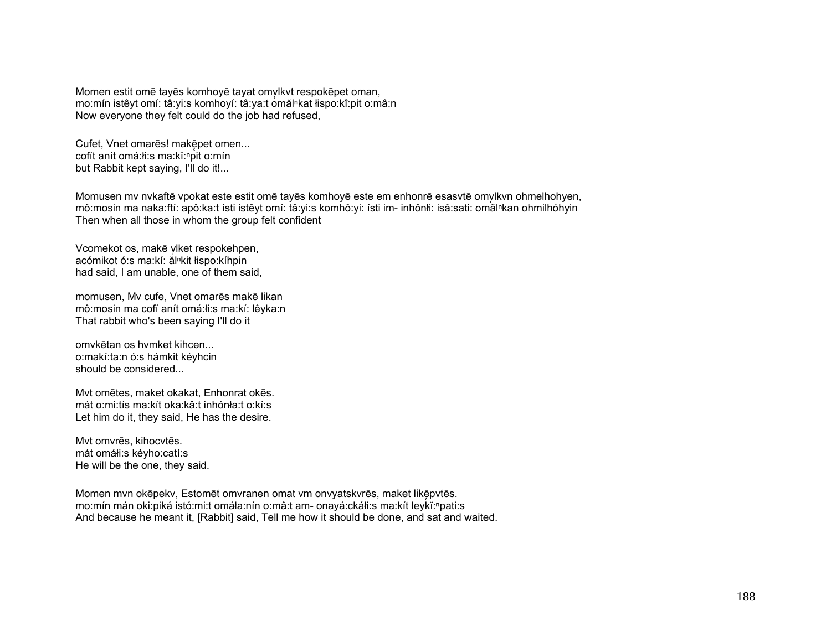Momen estit omē tayēs komhoyē tayat omvlkvt respokēpet oman, mo:mín istêyt omí: tâ:yi:s komhoyí: tâ:ya:t omăl<sup>n</sup>kat łispo:kî:pit o:mâ:n Now everyone they felt could do the job had refused,

Cufet, Vnet omarēs! makēpet omen... cofít anít omá:łi:s ma:kĭ:ʰpit o:mín but Rabbit kept saying, I'll do it!...

Momusen my nykaftē vpokat este estit omē tayēs komhoyē este em enhonrē esasytē omylkyn ohmelhohyen, mô:mosin ma naka:ftí: apô:ka:t ísti istêvt omí: tâ:yi:s komhô:yi: ísti im- inhônłi: isâ:sati: omăl<sup>n</sup>kan ohmilhóhyin Then when all those in whom the group felt confident

Vcomekot os, makē viket respokehpen, acómikot ó:s ma:kí: ălⁿkit łispo:kíhpin had said, I am unable, one of them said,

momusen, Mv cufe, Vnet omarēs makē likan mô:mosin ma cofí anít omá:łi:s ma:kí: lêyka:n That rabbit who's been saying I'll do it

omvkētan os hvmket kihcen... o:makí:ta:n ó:s hámkit kéyhcin should be considered...

Mvt omētes, maket okakat, Enhonrat okēs. mát o:mi:tís ma:kít oka:kâ:t inhónła:t o:kí:s Let him do it, they said, He has the desire.

Mvt omvrēs, kihocvtēs. mát omáłi:s kéyho:catí:s He will be the one, they said.

Momen mvn okēpekv, Estomēt omvranen omat vm onvyatskvrēs, maket likēpvtēs. mo:mín mán oki:piká istó:mi:t omáła:nín o:mâ:t am- onayá:ckáłi:s ma:kít leykĭ:<sup>n</sup>pati:s And because he meant it, [Rabbit] said, Tell me how it should be done, and sat and waited.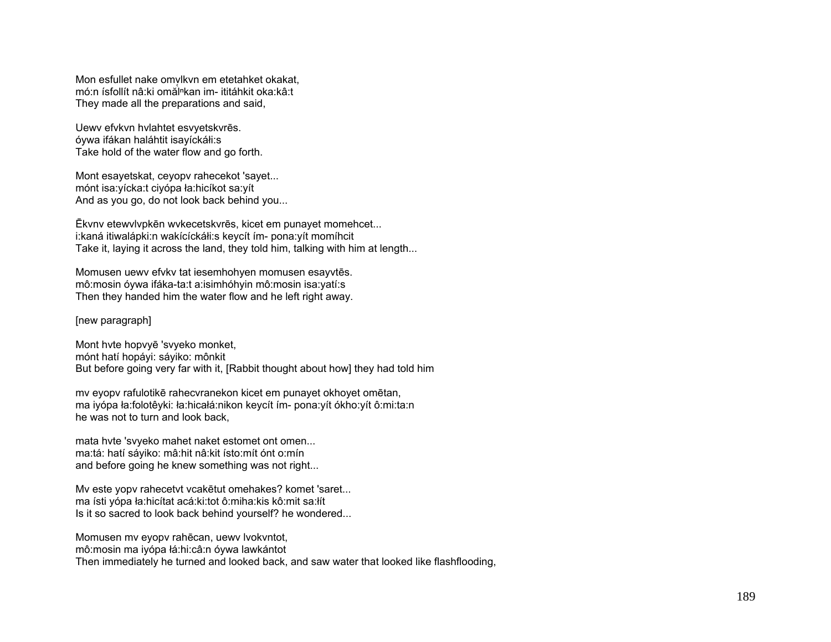Mon esfullet nake omvlkyn em etetahket okakat. mó:n ísfollít nâ:ki omăl<sup>n</sup>kan im- ititáhkit oka:kâ:t They made all the preparations and said,

Uewy efykyn hylahtet esyyetskyres. óywa ifákan haláhtit isayíckáłi:s Take hold of the water flow and go forth.

Mont esayetskat, ceyopy rahecekot 'sayet... mónt isa: vícka: t ciyópa ła: hicíkot sa: yít And as you go, do not look back behind you...

Ēkvnv etewvlvpkēn wvkecetskvrēs, kicet em punayet momehcet... i:kaná itiwalápki:n wakícíckáłi:s keycít ím- pona:yít momíhcit Take it, laying it across the land, they told him, talking with him at length...

Momusen uewy efvky tat iesemhohyen momusen esayytes. mô:mosin óywa ifáka-ta:t a:isimhóhyin mô:mosin isa:yatí:s Then they handed him the water flow and he left right away.

[new paragraph]

Mont hyte hopvye 'svyeko monket, mónt hatí hopávi: sáviko: mônkit But before going very far with it, [Rabbit thought about how] they had told him

my eyopy rafulotikē rahecyranekon kicet em punayet okhoyet omētan, ma iyópa ła:folotêyki: ła:hicałá:nikon keycít ím- pona:yít ókho:vít ô:mi:ta:n he was not to turn and look back.

mata hyte 'svyeko mahet naket estomet ont omen... ma:tá: hatí sáyiko: mâ:hit nâ:kit ísto:mít ónt o:mín and before going he knew something was not right...

My este yopy rahecetyt ycaketut omehakes? komet 'saret... ma ísti vópa ła:hicítat acá:ki:tot ô:miha:kis kô:mit sa:łít Is it so sacred to look back behind yourself? he wondered...

Momusen my eyopy rahēcan, uewy lyokyntot, mô: mosin ma iyópa łá: hi: câ: n óywa lawkántot Then immediately he turned and looked back, and saw water that looked like flashflooding,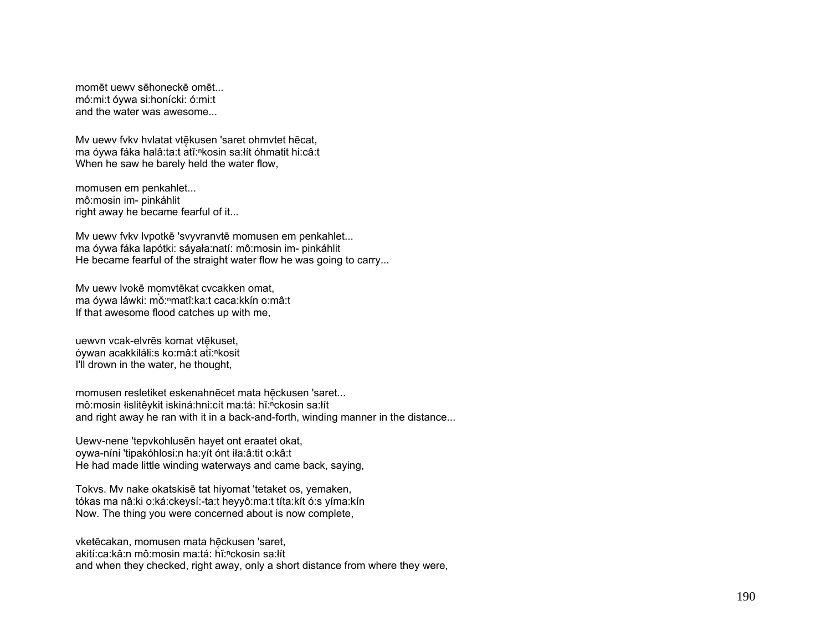momēt uewy sēhoneckē omēt... mó: mi: tóvwa si: honícki: ó: mi: t and the water was awesome...

My uewy fyky hylatat ytekusen 'saret ohmytet hecat, ma óywa fáka halâ:ta:t atĭ:<sup>n</sup>kosin sa:lít óhmatit hi:câ:t When he saw he barely held the water flow,

momusen em penkahlet... mô:mosin im- pinkáhlit right away he became fearful of it...

My uewy fyky lypotkē 'syyyranytē momusen em penkahlet... ma óywa fáka lapótki: sáyała:natí: mô:mosin im- pinkáhlit He became fearful of the straight water flow he was going to carry...

Mv uewv lvokē momvtēkat cvcakken omat, ma óywa láwki: mǒ: "matî: ka: t caca: kkín o: mâ: t If that awesome flood catches up with me,

uewyn ycak-elyrēs komat ytēkuset. óywan acakkiláłi:s ko:mâ:t atĭ:<sup>n</sup>kosit I'll drown in the water, he thought,

momusen resletiket eskenahnecet mata heckusen 'saret... mô: mosin łislitê y kit is kiná: hni: cít ma: tá: hǐ: "ckosin sa: łít and right away he ran with it in a back-and-forth, winding manner in the distance...

Uewv-nene 'tepvkohlusen hayet ont eraatet okat, oywa-níni 'tipakóhlosi:n ha:yít ónt iła:â:tit o:kâ:t He had made little winding waterways and came back, saying,

Tokvs. Mv nake okatskisē tat hiyomat 'tetaket os, yemaken, tókas ma nâ:ki o:ká:ckeysí:-ta:t heyyô:ma:t títa:kít ó:s yíma:kín Now. The thing you were concerned about is now complete,

vketēcakan, momusen mata hēckusen 'saret. akití:ca:kâ:n mô:mosin ma:tá: hǐ:<sup>n</sup>ckosin sa:lít and when they checked, right away, only a short distance from where they were.